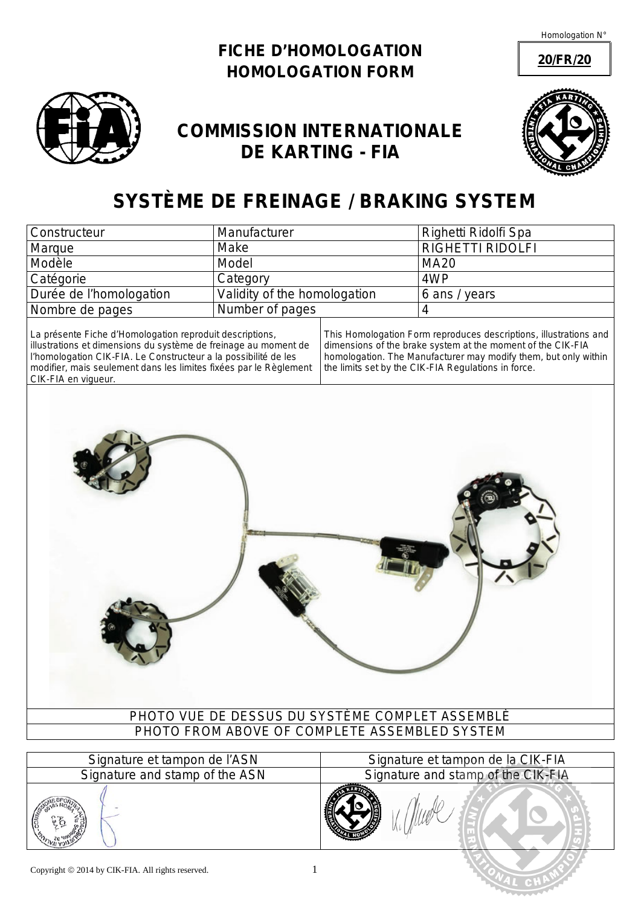Homologation N°

**20/FR/20**

## **FICHE D'HOMOLOGATION** *HOMOLOGATION FORM*



## **COMMISSION INTERNATIONALE DE KARTING - FIA**



## **SYSTÈME DE FREINAGE /** *BRAKING SYSTEM*

| <b>Constructeur</b>     | Manufacturer                 | Righetti Ridolfi Spa    |
|-------------------------|------------------------------|-------------------------|
| Marque                  | Make                         | <b>RIGHETTI RIDOLFI</b> |
| Modèle                  | <b>Model</b>                 | <b>MA20</b>             |
| Catégorie               | Category                     | 4WP                     |
| Durée de l'homologation | Validity of the homologation | 6 ans / years           |
| Nombre de pages         | Number of pages              |                         |

La présente Fiche d'Homologation reproduit descriptions, illustrations et dimensions du système de freinage au moment de l'homologation CIK-FIA. Le Constructeur a la possibilité de les modifier, mais seulement dans les limites fixées par le Règlement CIK-FIA en vigueur.

*This Homologation Form reproduces descriptions, illustrations and dimensions of the brake system at the moment of the CIK-FIA homologation. The Manufacturer may modify them, but only within the limits set by the CIK-FIA Regulations in force.*



| Copyright $\odot$ 2014 by CIK-FIA. All rights reserved. |  |
|---------------------------------------------------------|--|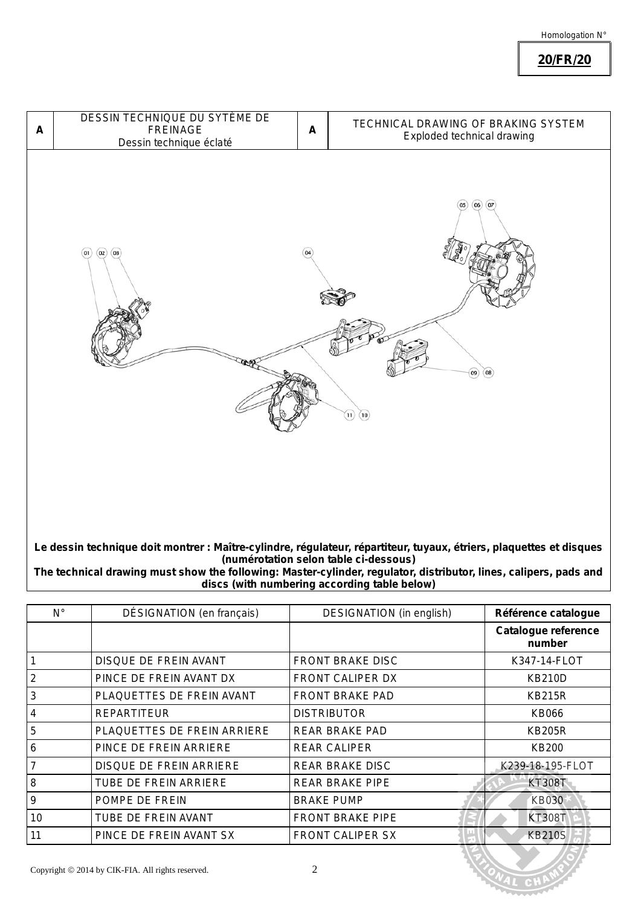**20/FR/20**



**Le dessin technique doit montrer : Maître-cylindre, régulateur, répartiteur, tuyaux, étriers, plaquettes et disques (numérotation selon table ci-dessous)**

*The technical drawing must show the following: Master-cylinder, regulator, distributor, lines, calipers, pads and discs (with numbering according table below)*

| $N^{\circ}$ | DÉSIGNATION (en français)    | <b>DESIGNATION</b> (in english) | Référence catalogue           |
|-------------|------------------------------|---------------------------------|-------------------------------|
|             |                              |                                 | Catalogue reference<br>number |
|             | DISQUE DE FREIN AVANT        | <b>FRONT BRAKE DISC</b>         | K347-14-FLOT                  |
| 2           | PINCE DE FREIN AVANT DX      | FRONT CALIPER DX                | <b>KB210D</b>                 |
| 3           | PLAQUETTES DE FREIN AVANT    | <b>FRONT BRAKE PAD</b>          | <b>KB215R</b>                 |
| 4           | <b>REPARTITEUR</b>           | <b>DISTRIBUTOR</b>              | KB066                         |
| 5           | PLAQUETTES DE FREIN ARRIERE  | REAR BRAKE PAD                  | <b>KB205R</b>                 |
| 6           | PINCE DE FREIN ARRIERE       | <b>REAR CALIPER</b>             | <b>KB200</b>                  |
| 7           | DISQUE DE FREIN ARRIERE      | REAR BRAKE DISC                 | K239-18-195-FLOT              |
| 8           | <b>TUBE DE FREIN ARRIERE</b> | <b>REAR BRAKE PIPE</b>          | <b>KT308T</b>                 |
| 9           | POMPE DE FREIN               | <b>BRAKE PUMP</b>               | <b>KB030</b>                  |
| 10          | TUBE DE FREIN AVANT          | <b>FRONT BRAKE PIPE</b>         | <b>KT308T</b>                 |
| 11          | PINCE DE FREIN AVANT SX      | <b>FRONT CALIPER SX</b>         | <b>KB210S</b>                 |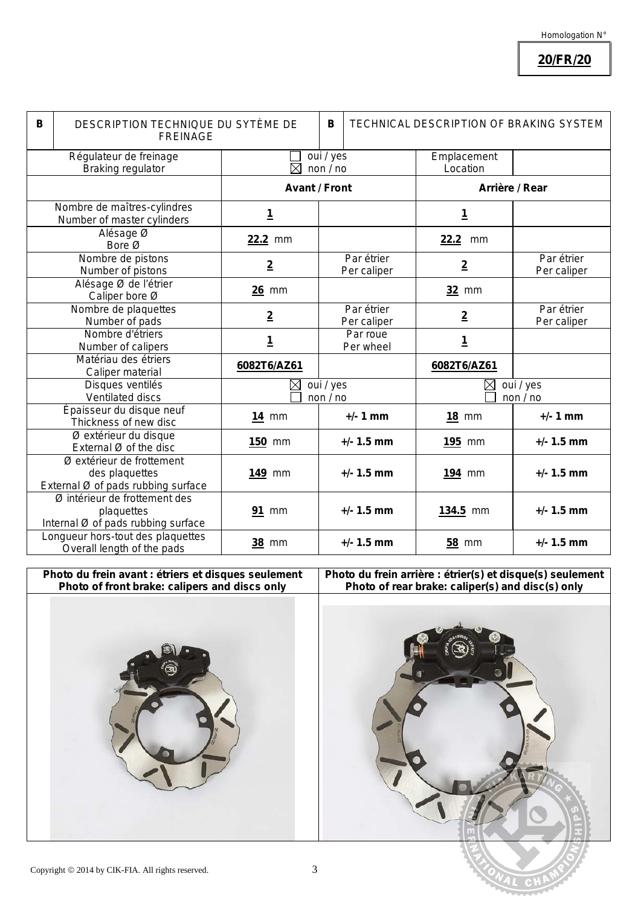**20/FR/20**

| В | DESCRIPTION TECHNIQUE DU SYTÈME DE<br><b>FREINAGE</b>                             |                                 | B                       | TECHNICAL DESCRIPTION OF BRAKING SYSTEM |                         |                           |
|---|-----------------------------------------------------------------------------------|---------------------------------|-------------------------|-----------------------------------------|-------------------------|---------------------------|
|   | Régulateur de freinage<br><b>Braking regulator</b>                                | oui / yes<br>$\times$<br>non/no |                         |                                         | Emplacement<br>Location |                           |
|   |                                                                                   | <b>Avant / Front</b>            |                         |                                         | Arrière / Rear          |                           |
|   | Nombre de maîtres-cylindres<br>Number of master cylinders                         | <u>1</u>                        |                         |                                         | <u>1</u>                |                           |
|   | Alésage Ø<br>Bore Ø                                                               | 22.2 mm                         |                         |                                         | 22.2<br>mm              |                           |
|   | Nombre de pistons<br>Number of pistons                                            | $\overline{2}$                  |                         | Par étrier<br>Per caliper               | $\overline{2}$          | Par étrier<br>Per caliper |
|   | Alésage Ø de l'étrier<br>Caliper bore Ø                                           | $26$ mm                         |                         |                                         | 32 mm                   |                           |
|   | Nombre de plaquettes<br>Number of pads                                            | $\overline{2}$                  |                         | Par étrier<br>Per caliper               | $\overline{2}$          | Par étrier<br>Per caliper |
|   | Nombre d'étriers<br>Number of calipers                                            | <u>1</u>                        |                         | Par roue<br>Per wheel                   | <u>1</u>                |                           |
|   | Matériau des étriers<br>Caliper material                                          | 6082T6/AZ61                     |                         |                                         | 6082T6/AZ61             |                           |
|   | Disques ventilés<br>Ventilated discs                                              | $\boxtimes$                     | oui / yes<br>non $/$ no |                                         | ⊠                       | oui / yes<br>non $/$ no   |
|   | Épaisseur du disque neuf<br>Thickness of new disc                                 | <b>14 mm</b>                    |                         | $+/- 1$ mm                              | <b>18 mm</b>            | $+/- 1$ mm                |
|   | Ø extérieur du disque<br>External Ø of the disc                                   | <b>150 mm</b>                   |                         | $+/- 1.5$ mm                            | <b>195 mm</b>           | $+/- 1.5$ mm              |
|   | Ø extérieur de frottement<br>des plaquettes<br>External Ø of pads rubbing surface | 149 mm                          |                         | $+/- 1.5$ mm                            | 194 mm                  | $+/- 1.5$ mm              |
|   | Ø intérieur de frottement des<br>plaquettes<br>Internal Ø of pads rubbing surface | <b>91 mm</b>                    |                         | $+/- 1.5$ mm                            | 134.5 mm                | $+/- 1.5$ mm              |
|   | Longueur hors-tout des plaquettes<br>Overall length of the pads                   | <b>38 mm</b>                    |                         | $+/- 1.5$ mm                            | <b>58 mm</b>            | $+/- 1.5$ mm              |



**Photo du frein arrière : étrier(s) et disque(s) seulement** *Photo of rear brake: caliper(s) and disc(s) only*